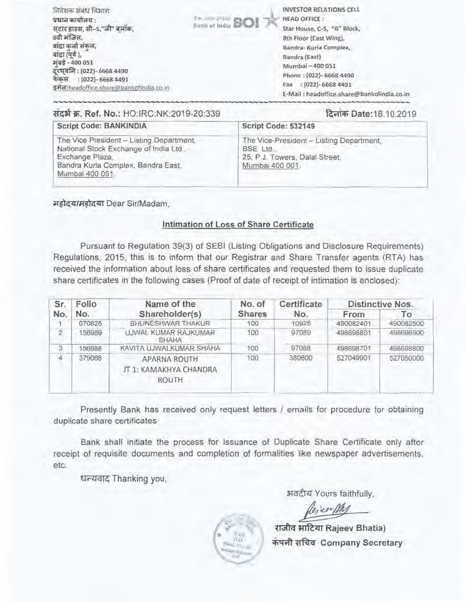| निवेशक संबंध विभाग<br>प्रधान कार्यालय :<br>सटार हाउस, सी-5,"जी" बलॉक,<br>8वी मजिल,<br>बादा कलो सकल.<br>बाद्रा (पर्व ),<br>मबड़े - 400 051<br>दरघवलि: (022)- 6668 4490<br>फेकस : (022)- 6668 4491<br>इमेल:headoffice.share@bankofindia.co.in | <b>The State of Indian BOI</b> | <b>INVESTOR RELATIONS CELL</b><br><b>HEAD OFFICE:</b><br>Star House, C-5, "G" Block,<br>8th Floor (East Wing),<br>Bandra- Kurla Complex,<br>Bandra (East)<br>Mumbai - 400 051<br>Phone: (022)- 6668 4490<br>$:(022) - 66684491$<br>Fax<br>E-Mail: headoffice.share@bankofindia.co.in |
|---------------------------------------------------------------------------------------------------------------------------------------------------------------------------------------------------------------------------------------------|--------------------------------|--------------------------------------------------------------------------------------------------------------------------------------------------------------------------------------------------------------------------------------------------------------------------------------|
| सदर्भ क्र. Ref. No.: HO:IRC:NK:2019-20:339                                                                                                                                                                                                  |                                | दिनाक Date:18.10.2019                                                                                                                                                                                                                                                                |

### Script Code: BANKINDIA

The Vice President - Listing Department. National Stock Exchange of India Ltd., Exchange Plaza, Bandra Kurla Complex, Bandra East, Mumbai 400 051.

#### The Vice-President - Listing Department, BSE Ltd. 25, P.J. Towers, Dalal Street, Mumbai 400 001.

Script Code: 532149

महोदय/महोदया Dear Sir/Madam.

## Intimation of Loss of Share Certificate

Pursuant to Regulation 39(3) of SEBI (Listing Obligations and Disclosure Requirements) Regulations, 2015, this is to inform that our Registrar and Share Transfer agents (RTA) has received the information about loss of share certificates and requested them to issue duplicate share certificates in the following cases (Proof of date of receipt of intimation is enclosed):

| Sr.            | Folio  | Name of the                                                   | No. of        | Certificate | Distinctive Nos. |           |
|----------------|--------|---------------------------------------------------------------|---------------|-------------|------------------|-----------|
| No.            | No.    | Shareholder(s)                                                | <b>Shares</b> | No.         | From             | To        |
|                | 070825 | <b>BHUNESHWAR THAKUR</b>                                      | 100           | 10925       | 490082401        | 490082500 |
| $\overline{2}$ | 156989 | UJWAL KUMAR RAJKUMAR<br><b>SHAHA</b>                          | 100           | 97089       | 498698801        | 498698900 |
| 3              | 156988 | KAVITA UJWALKUMAR SHAHA                                       | 100           | 97088       | 498698701        | 498698800 |
| Δ              | 379068 | <b>APARNA ROUTH</b><br>JT 1: KAMAKHYA CHANDRA<br><b>ROUTH</b> | 100           | 380600      | 527049901        | 527050000 |

Presently Bank has received only request letters / emails for procedure for obtaining duplicate share certificates

Bank shall initiate the process for Issuance of Duplicate Share Certificate only after receipt of requisite documents and completion of formalities like newspaper advertisements, etc.

धन्यवाद Thanking you,

अवदीय Yours faithfully.

राजीव भाटिया Rajeev Bhatia) कंपनी सचिव Company Secretary

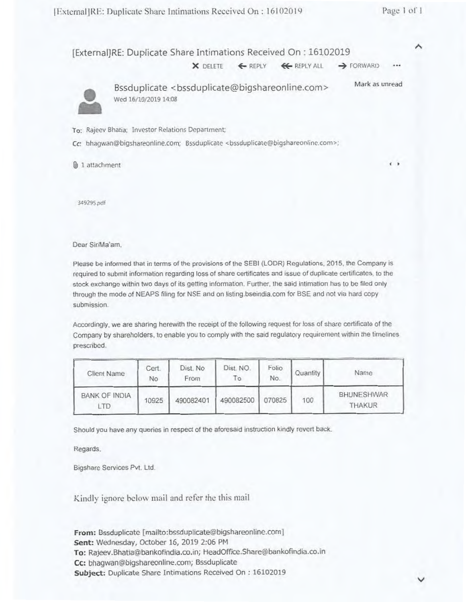**A** 

| [External]RE: Duplicate Share Intimations Received On : 16102019 |  |                                                                            |      |
|------------------------------------------------------------------|--|----------------------------------------------------------------------------|------|
|                                                                  |  | $X$ DELETE $\leftarrow$ REPLY $\leftarrow$ REPLY ALL $\rightarrow$ FORWARD | 1888 |



**•** Bssduplicate <bssduplicate@bigshareonline.com> Wed 16/10/2019 14:08 Mark as unread

To: Rajecv Shatia; Investor Relations Department

Cc: bhagwan@bigshareonline.com; Bssduplicate <bssduplicate@bigshareonline.com>;

@,( 1 attachment **<sup>4</sup>**

349295 pdf

Dear Sir/Ma'am,

Please be informed that in terms of the provisions of the SEBI (LODR) Regulations. 2015, the Company is required to submit information regarding loss of share certificates and issue of duplicate certificates, to the stock exchange within two days of its getting information. Further, the said intimation has to be filed only through the mode of NEAPS filing for NSE and on listing.bseindia.com for BSE and not via hard copy submission.

Accordingly, we are sharing herewith the receipt of the following request for loss of share certificate of the Company by shareholders, to enable you to comply with the said regulatory requirement within the timelines prescribed.

| <b>Client Name</b>          | Cert.<br>No | Dist. No.<br>From | Dist. NO.<br>$\overline{0}$ | Folio<br>No. | Quantity | Name                        |
|-----------------------------|-------------|-------------------|-----------------------------|--------------|----------|-----------------------------|
| <b>BANK OF INDIA</b><br>LTD | 10925       | 490082401         | 490082500                   | 070825       | 100      | <b>BHUNESHWAR</b><br>THAKUR |

Should you have any queries in respect of the aforesaid instruction kindly revert back.

Regards.

Bigshare Services Pvt. Ltd.

Kindly ignore below mail and refer the this mail

**From:** Bssduplicate [mailto:bssduplicate@bigshareonline.corrl **Sent:** Wednesday, October 16, 2019 2:06 PM **To:** Rajeev.Bhatia@bankofindia.co.in; HeadOffice.Share@bankofindia.co.in Cc: bhagwan@bigshareonline.com; Bssduplicate **Subject:** Duplicate Share Intimations Received On : 16102019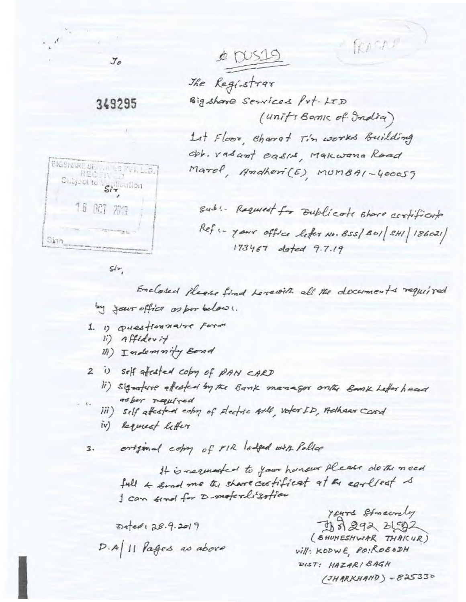$\triangle$  DUS19

The Registrar Big share Services Prt. LTD (uniti Bank of India) Lat Floor, Sharet Tin works Building Obb. vasant casis, Makwana Road Marol, Andheri(E), MUMBAI-400059

RASAR

BIGSNARE SERVICES SVILLID. 16 007 2019  $S(n)$ 

gub: - Requiret for Dublicate share certificate Refs- your office leter No. 855/801/8HI 186021) 173467 olsted 9.7.19

 $S/r$ 

 $\mathcal{I}\mathcal{O}$ 

349295

Enclosed please find Levewith all the documents required by your office as per belows.

- 1. 1) Questionnaire Form ii) Affidevit
	- III) Indemnity Bond

2 is self affected copy of PAN CARD

ii) signature affected by the Bank manager only Bank Lefter haad as ber required

iii) self affected comp of Electric Arle, voter ID, Adhear Card iv) Requiest letter

original comp of FIR lodged with Police 3.

> It is negated to your honour please do the need full & send me the share custificat at the earliest & I can send for D-moterlization

Defed: 28.9.2019  $D.A$ |  $||$  *lages as above* 

Yours Streety 35 292 2192 (BHUNESHWIAR THAICUR) *vill*: KODWE, PO: ROBODH DIST: HAZARI BAGH  $(JHARKHAND) - 825330$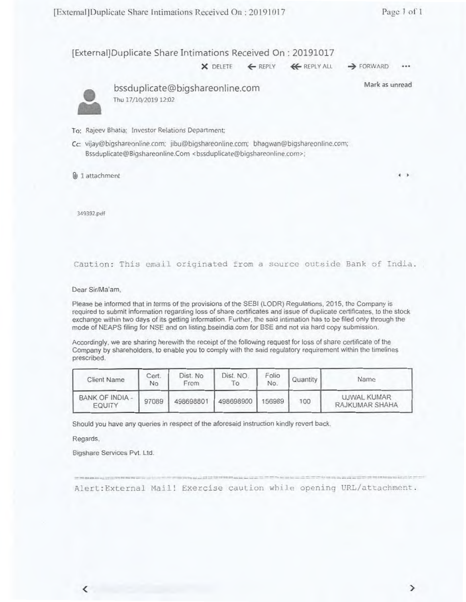**4 )**

[External]Duplicate Share Intimations Received On : 20191017

**X** DELETE ← REPLY ← REPLY ALL → FORWARD

 $...$ 

Mark as unread



• bssduplicate@bigshareonline.com Thu 17/10/2019 12:02

- To: Rajeev 8hatia: Investor Relations Department;
- Cc: vijay@bigshareonline.com; jibu@bigshareonline.com; bhagwan@bigshareonline.com; Bssduplicate@Bigshareonline.Com <br/>bssduplicate@bigshareonline.com>;

) 1 attachment

349392.pdf

Caution: This email originated from a source outside Bank of India.

Dear Sir/Ma'am,

Please be informed that in terms of the provisions of the SEBI (LODR) Regulations, 2015. the Company is required to submit information regarding loss of share certificates and issue of duplicate certificates, to the stock exchange within two days of its getting information. Further, the said intimation has to be filed only through the mode of NEAPS filing for NSE and on listing.bseindia.com for BSE and not via hard copy submission.

Accordingly, we are sharing herewith the receipt of the following request for loss of share certificate of the Company by shareholders, to enable you to comply with the said regulatory requirement within the timelines prescribed.

| <b>Client Name</b>                      | Cert.<br>No | Dist. No<br>From | Dist. NO.<br>$\circ$ | Folio<br>No. | Quantity | Name                          |
|-----------------------------------------|-------------|------------------|----------------------|--------------|----------|-------------------------------|
| <b>BANK OF INDIA -</b><br><b>EQUITY</b> | 97089       | 498698801        | 498698900            | 156989       | 100      | UJWAL KUMAR<br>RAJKUMAR SHAHA |

Should you have any queries in respect of the aforesaid instruction kindly revert back.

Regards,

Bigshare Services **Pvt. Ltd.** 

Alert: External Mail! Exercise caution while opening URL/attachment.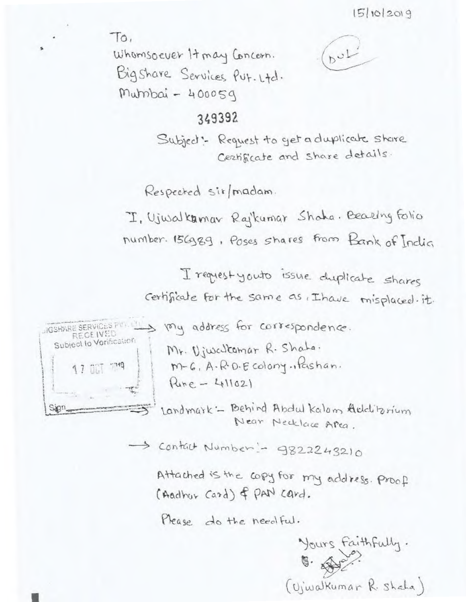$To.$ 

Whomsoever It may Concern. Bigshare Services Put. Ltd. Murnbai - 400059

# $D^{\omega}$

## 349392

Subject: Request to get a duplicate share Certificate and share details.

Respected sit/madam.

I, Ujwalkamar Rajkumar Shaha. Bearing Folio number. 156989, Poses shares from Bank of India

I request youto issue chapticate shares certificate for the same as thave misplaced it.



JOSHANE SERVICES PULLED Voly address for correspondence. Mr. Viwalcomar R. Shaha. M-6, A.R.D.E colony., Pashan.  $Rune - 411021$ 

> Landmark - Behind Abdul Kalom Additorium Near Necklace Apea.

> > -> Contact Number - 9822243210

Attached is the copy for my address. Proof (Aadhor Card) of PAN Card.

Please do the needful.

Yours FaithFully.  $\sqrt{9}$ (Vjwalkumar R. Shala)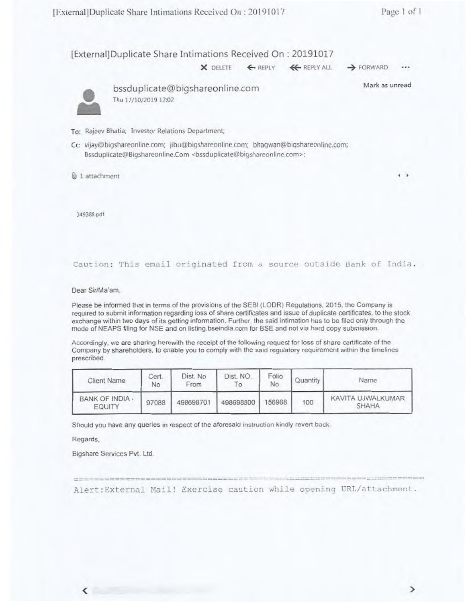[External]Duplicate Share Intimations Received On : 20191017

X DELETE ← REPLY <del>K</del> REPLY ALL → FORWARD

Mark as unread



bssduplicate@bigshareonline.com Thu 17/10/2019 12:02

- To: Rajeev Bhatia; Investor Relations Department;
- Cc: vijay@bigshareonline.com: jibu@bigshareonline.com: bhagwan@bigshareonline.com; Bssduplicate@Bigshareonline.Com <br/>bssduplicate@bigshareonline.com>;
- @.1 1 attachment **I 0**

349388.pdf

Caution: This email originated from a source outside Bank of India.

Dear Sir/Ma'am.

Please be informed that in terms of the provisions of the SERI (LODR) Regulations. 2015. the Company is required to submit information regarding loss of share certificates and issue of duplicate certificates, to the stock exchange within two days of its getting information. Further, the said intimation has to be filed only through the mode of NEAPS filing for NSE and on Iisting.bseindia.com for BSE and not via hard copy submission.

Accordingly, we are sharing herewith the receipt of the following request for loss of share certificate of the Company by shareholders, to enable you to comply with the said regulatory requirement within the timelines prescribed.

| Client Name                      | Cert.<br>No | Dist. No<br>From | Dist. NO.<br>To. | Folio<br>No. | Quantity | Name                              |
|----------------------------------|-------------|------------------|------------------|--------------|----------|-----------------------------------|
| <b>BANK OF INDIA -</b><br>EQUITY | 97088       | 498698701        | 498698800        | 156988       | 100      | KAVITA UJWALKUMAR<br><b>SHAHA</b> |

Should you have any queries in respect of the aforesaid instruction kindly revert back

=

Regards.

Bigshare Services Pvt. Ltd.

we was the det interest and not will had the more and

Alert: External Mail! Exercise caution while opening URL/attachment.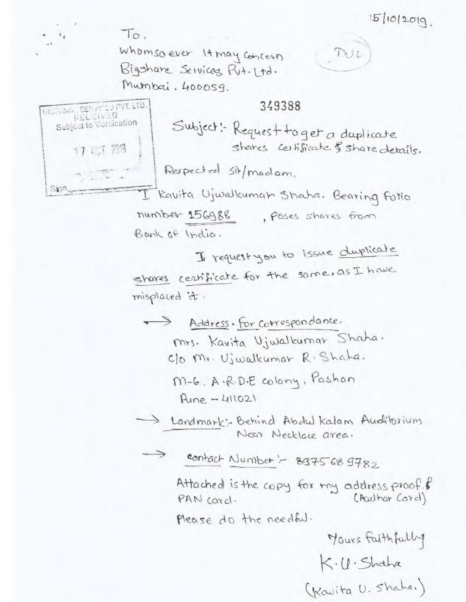$To.$ 

**BROOKING SEPUT 23 PVT. LTD.** 

Subject to Variacation

17 151 2019

 $Singn_{av}$ 

Whomsoever It may concern Bigshare Services Put. Ltd. Mumbai. 400059.

349388

Subject: Request to get a duplicate shares certificate & share details.

Respected sit/madam.

I Kavita Ujwalkuman Shaha. Bearing Folio number 156988 . Poses shares from Bank of India.

I request you to issue duplicate shares certificate for the same, as I have misplaced it.

Address. For correspondance. Mrs. Kavita Ujwalkumar Shaha. C/o Mr. Ujwalkumar R. Shaha.

M-6. A.R.D.E colony, Pashan  $Pune - 411021$ 

Iandmark: Behind Abdul Kalam Audibrium Near Necklace area.

-> contact Number :- 8-375689782

Attached is the copy for my address proof. (Aculhar Card) PAN card.

Please do the needful.

Mours Faithfully  $K·U·Shabx$ (Kavita U. Shaha.)